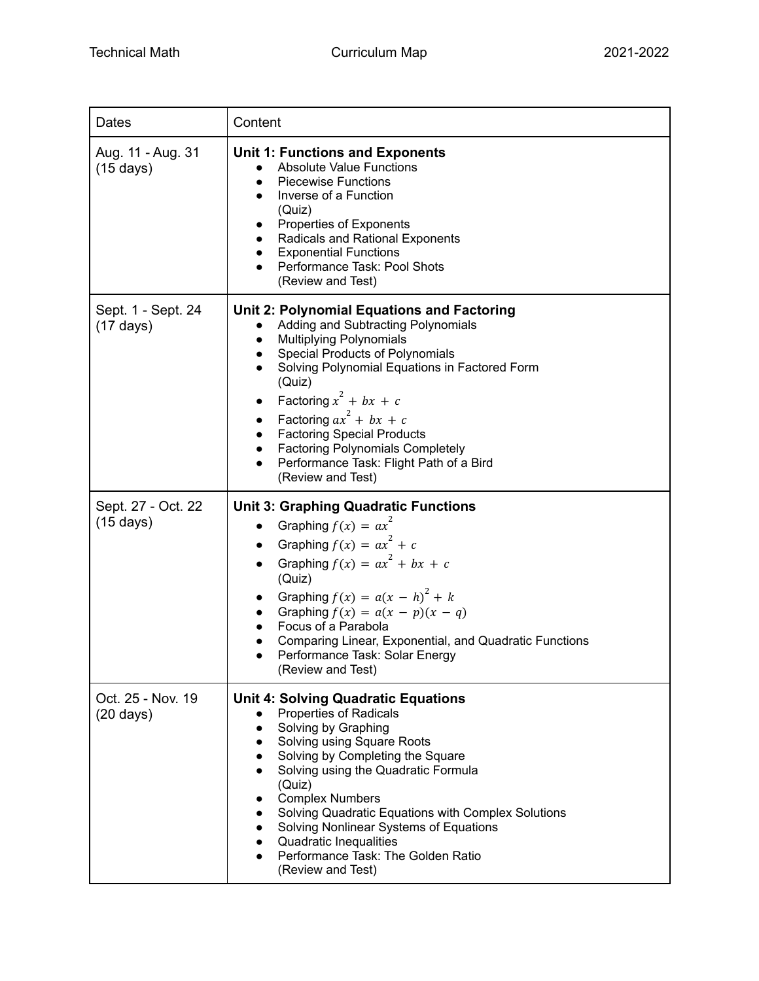| <b>Dates</b>                              | Content                                                                                                                                                                                                                                                                                                                                                                                                                                                                                                        |
|-------------------------------------------|----------------------------------------------------------------------------------------------------------------------------------------------------------------------------------------------------------------------------------------------------------------------------------------------------------------------------------------------------------------------------------------------------------------------------------------------------------------------------------------------------------------|
| Aug. 11 - Aug. 31<br>$(15 \text{ days})$  | <b>Unit 1: Functions and Exponents</b><br><b>Absolute Value Functions</b><br><b>Piecewise Functions</b><br>Inverse of a Function<br>(Quiz)<br>Properties of Exponents<br>$\bullet$<br>Radicals and Rational Exponents<br><b>Exponential Functions</b><br>$\bullet$<br>Performance Task: Pool Shots<br>(Review and Test)                                                                                                                                                                                        |
| Sept. 1 - Sept. 24<br>$(17 \text{ days})$ | Unit 2: Polynomial Equations and Factoring<br>Adding and Subtracting Polynomials<br><b>Multiplying Polynomials</b><br>$\bullet$<br><b>Special Products of Polynomials</b><br>$\bullet$<br>Solving Polynomial Equations in Factored Form<br>(Quiz)<br>Factoring $x^2 + bx + c$<br>$\bullet$<br>Factoring $ax^2 + bx + c$<br>$\bullet$<br><b>Factoring Special Products</b><br>$\bullet$<br><b>Factoring Polynomials Completely</b><br>$\bullet$<br>Performance Task: Flight Path of a Bird<br>(Review and Test) |
| Sept. 27 - Oct. 22<br>$(15 \text{ days})$ | <b>Unit 3: Graphing Quadratic Functions</b><br>Graphing $f(x) = ax^2$<br>$\bullet$<br>Graphing $f(x) = ax^2 + c$<br>Graphing $f(x) = ax^2 + bx + c$<br>(Quiz)<br>Graphing $f(x) = a(x - h)^2 + k$<br>Graphing $f(x) = a(x - p)(x - q)$<br>Focus of a Parabola<br>Comparing Linear, Exponential, and Quadratic Functions<br>Performance Task: Solar Energy<br>(Review and Test)                                                                                                                                 |
| Oct. 25 - Nov. 19<br>$(20 \text{ days})$  | <b>Unit 4: Solving Quadratic Equations</b><br><b>Properties of Radicals</b><br>Solving by Graphing<br>Solving using Square Roots<br>$\bullet$<br>Solving by Completing the Square<br>$\bullet$<br>Solving using the Quadratic Formula<br>(Quiz)<br><b>Complex Numbers</b><br>Solving Quadratic Equations with Complex Solutions<br>Solving Nonlinear Systems of Equations<br>Quadratic Inequalities<br>Performance Task: The Golden Ratio<br>(Review and Test)                                                 |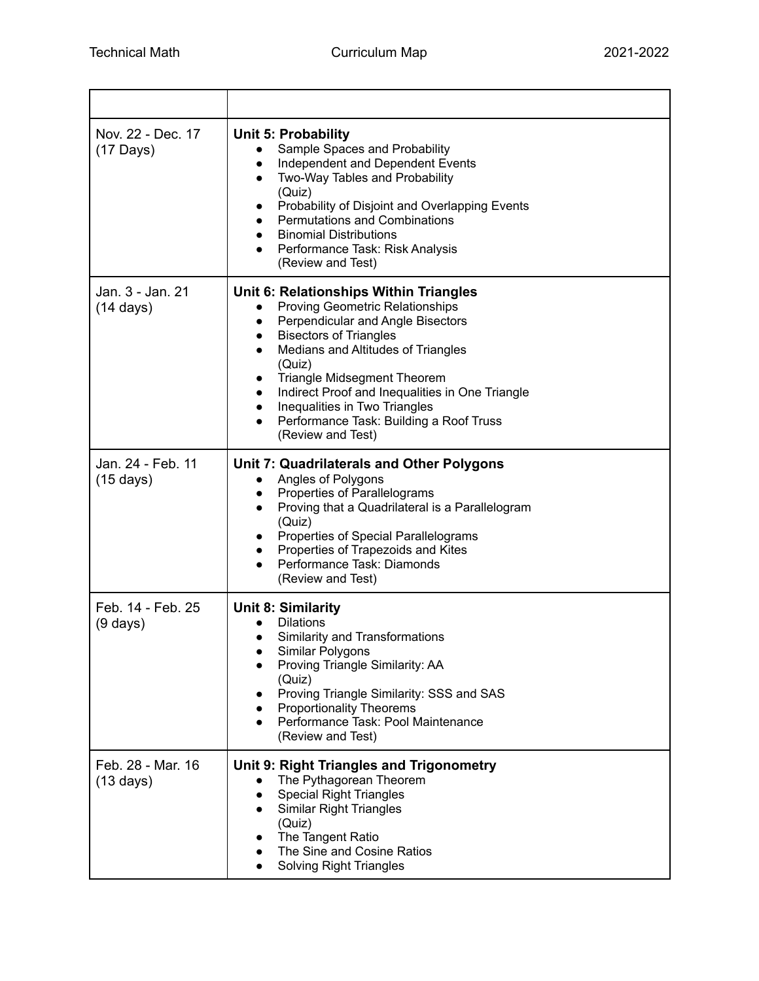| Nov. 22 - Dec. 17<br>$(17 \text{ Days})$ | <b>Unit 5: Probability</b><br>Sample Spaces and Probability<br>$\bullet$<br>Independent and Dependent Events<br>Two-Way Tables and Probability<br>(Quiz)<br>Probability of Disjoint and Overlapping Events<br>$\bullet$<br><b>Permutations and Combinations</b><br><b>Binomial Distributions</b><br>Performance Task: Risk Analysis<br>(Review and Test)                                                                                |
|------------------------------------------|-----------------------------------------------------------------------------------------------------------------------------------------------------------------------------------------------------------------------------------------------------------------------------------------------------------------------------------------------------------------------------------------------------------------------------------------|
| Jan. 3 - Jan. 21<br>$(14 \text{ days})$  | Unit 6: Relationships Within Triangles<br><b>Proving Geometric Relationships</b><br>Perpendicular and Angle Bisectors<br><b>Bisectors of Triangles</b><br>$\bullet$<br>Medians and Altitudes of Triangles<br>(Quiz)<br><b>Triangle Midsegment Theorem</b><br>Indirect Proof and Inequalities in One Triangle<br>$\bullet$<br>Inequalities in Two Triangles<br>$\bullet$<br>Performance Task: Building a Roof Truss<br>(Review and Test) |
| Jan. 24 - Feb. 11<br>$(15 \text{ days})$ | Unit 7: Quadrilaterals and Other Polygons<br>Angles of Polygons<br>Properties of Parallelograms<br>Proving that a Quadrilateral is a Parallelogram<br>(Quiz)<br>Properties of Special Parallelograms<br>Properties of Trapezoids and Kites<br>Performance Task: Diamonds<br>(Review and Test)                                                                                                                                           |
| Feb. 14 - Feb. 25<br>$(9 \text{ days})$  | <b>Unit 8: Similarity</b><br><b>Dilations</b><br>Similarity and Transformations<br>Similar Polygons<br>Proving Triangle Similarity: AA<br>(Quiz)<br>Proving Triangle Similarity: SSS and SAS<br><b>Proportionality Theorems</b><br>Performance Task: Pool Maintenance<br>(Review and Test)                                                                                                                                              |
| Feb. 28 - Mar. 16<br>$(13 \text{ days})$ | Unit 9: Right Triangles and Trigonometry<br>The Pythagorean Theorem<br><b>Special Right Triangles</b><br><b>Similar Right Triangles</b><br>(Quiz)<br>The Tangent Ratio<br>The Sine and Cosine Ratios<br><b>Solving Right Triangles</b>                                                                                                                                                                                                  |